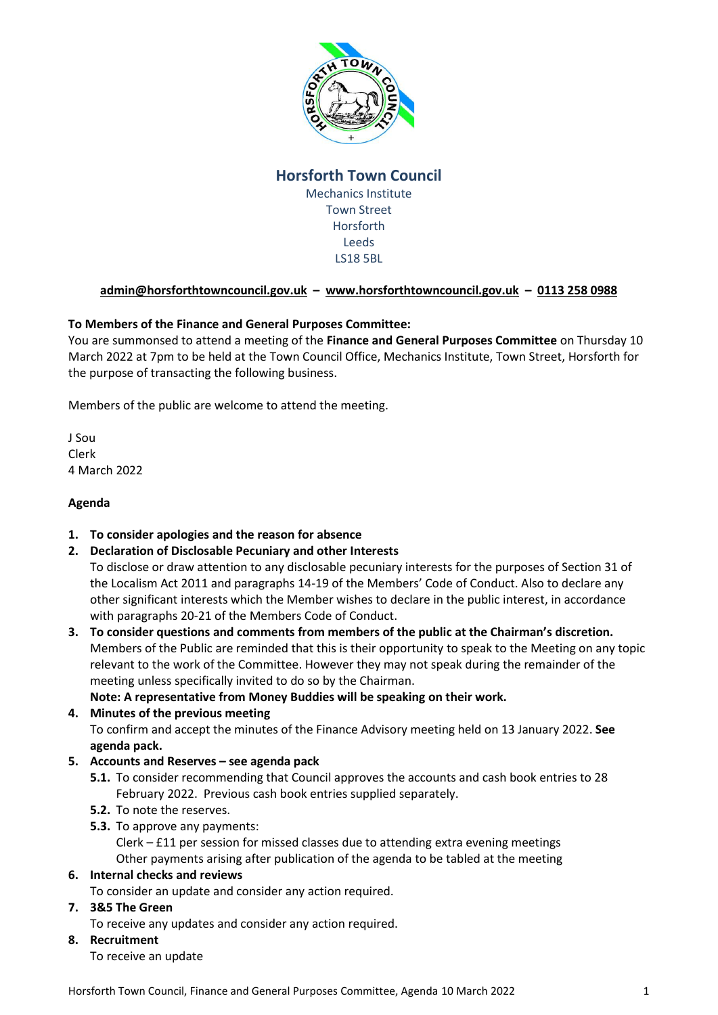

# **Horsforth Town Council**

Mechanics Institute Town Street Horsforth Leeds LS18 5BL

## **[admin@horsforthtowncouncil.gov.uk](mailto:admin@horsforthtowncouncil.gov.uk) – [www.horsforthtowncouncil.gov.uk](http://www.horsforthtowncouncil.gov.uk/) – 0113 258 0988**

## **To Members of the Finance and General Purposes Committee:**

You are summonsed to attend a meeting of the **Finance and General Purposes Committee** on Thursday 10 March 2022 at 7pm to be held at the Town Council Office, Mechanics Institute, Town Street, Horsforth for the purpose of transacting the following business.

Members of the public are welcome to attend the meeting.

J Sou Clerk 4 March 2022

#### **Agenda**

## **1. To consider apologies and the reason for absence**

## **2. Declaration of Disclosable Pecuniary and other Interests**

To disclose or draw attention to any disclosable pecuniary interests for the purposes of Section 31 of the Localism Act 2011 and paragraphs 14-19 of the Members' Code of Conduct. Also to declare any other significant interests which the Member wishes to declare in the public interest, in accordance with paragraphs 20-21 of the Members Code of Conduct.

**3. To consider questions and comments from members of the public at the Chairman's discretion.** Members of the Public are reminded that this is their opportunity to speak to the Meeting on any topic relevant to the work of the Committee. However they may not speak during the remainder of the meeting unless specifically invited to do so by the Chairman.

## **Note: A representative from Money Buddies will be speaking on their work.**

## **4. Minutes of the previous meeting**

To confirm and accept the minutes of the Finance Advisory meeting held on 13 January 2022. **See agenda pack.**

## **5. Accounts and Reserves – see agenda pack**

- **5.1.** To consider recommending that Council approves the accounts and cash book entries to 28 February 2022. Previous cash book entries supplied separately.
- **5.2.** To note the reserves.
- **5.3.** To approve any payments:

Clerk – £11 per session for missed classes due to attending extra evening meetings Other payments arising after publication of the agenda to be tabled at the meeting

## **6. Internal checks and reviews**

To consider an update and consider any action required.

## **7. 3&5 The Green**

To receive any updates and consider any action required.

**8. Recruitment**

To receive an update